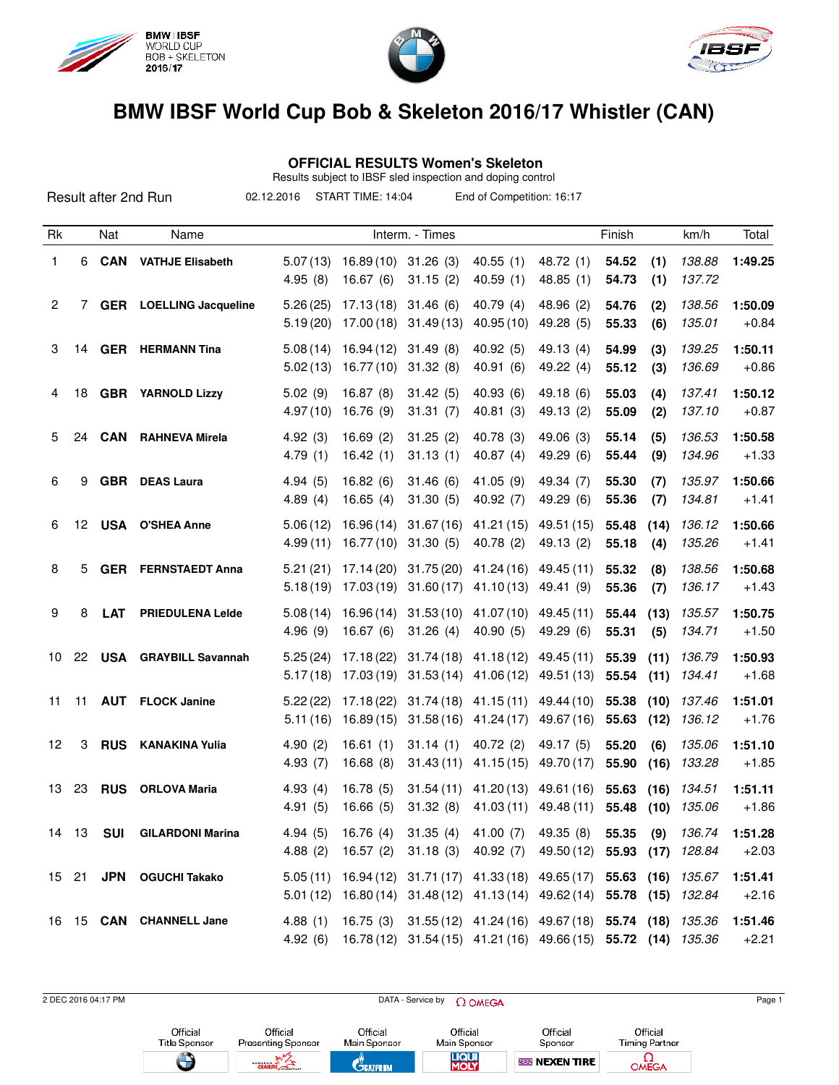

Result after 2nd Run





## **BMW IBSF World Cup Bob & Skeleton 2016/17 Whistler (CAN)**

## **OFFICIAL RESULTS Women's Skeleton**

Results subject to IBSF sled inspection and doping control 02.12.2016 START TIME: 14:04 End of Competition: 16:17

| Rk             |       | Nat        | Name                           |                      |                                  | Interm. - Times        |                                                                                                                                                    |                          | Finish         |              | km/h             | Total              |
|----------------|-------|------------|--------------------------------|----------------------|----------------------------------|------------------------|----------------------------------------------------------------------------------------------------------------------------------------------------|--------------------------|----------------|--------------|------------------|--------------------|
| 1              | 6     | <b>CAN</b> | <b>VATHJE Elisabeth</b>        | 5.07(13)<br>4.95(8)  | 16.89 (10) 31.26 (3)<br>16.67(6) | 31.15(2)               | 40.55(1)<br>40.59(1)                                                                                                                               | 48.72 (1)<br>48.85(1)    | 54.52<br>54.73 | (1)<br>(1)   | 138.88<br>137.72 | 1:49.25            |
| $\overline{c}$ | 7     |            | <b>GER</b> LOELLING Jacqueline | 5.26(25)<br>5.19(20) | 17.13(18)<br>17.00(18)           | 31.46(6)<br>31.49(13)  | 40.79(4)<br>40.95(10)                                                                                                                              | 48.96 (2)<br>49.28 (5)   | 54.76<br>55.33 | (2)<br>(6)   | 138.56<br>135.01 | 1:50.09<br>$+0.84$ |
| 3              |       |            | 14 GER HERMANN Tina            | 5.08(14)<br>5.02(13) | 16.94 (12)<br>16.77(10)          | 31.49(8)<br>31.32(8)   | 40.92(5)<br>40.91(6)                                                                                                                               | 49.13 (4)<br>49.22 (4)   | 54.99<br>55.12 | (3)<br>(3)   | 139.25<br>136.69 | 1:50.11<br>$+0.86$ |
| 4              | 18    |            | <b>GBR</b> YARNOLD Lizzy       | 5.02(9)<br>4.97(10)  | 16.87(8)<br>16.76 (9)            | 31.42(5)<br>31.31(7)   | 40.93(6)<br>40.81(3)                                                                                                                               | 49.18(6)<br>49.13 (2)    | 55.03<br>55.09 | (4)<br>(2)   | 137.41<br>137.10 | 1:50.12<br>$+0.87$ |
| 5              | 24    | <b>CAN</b> | <b>RAHNEVA Mirela</b>          | 4.92(3)<br>4.79(1)   | 16.69(2)<br>16.42(1)             | 31.25(2)<br>31.13(1)   | 40.78 (3)<br>40.87(4)                                                                                                                              | 49.06 (3)<br>49.29 (6)   | 55.14<br>55.44 | (5)<br>(9)   | 136.53<br>134.96 | 1:50.58<br>$+1.33$ |
| 6              | 9     | <b>GBR</b> | <b>DEAS Laura</b>              | 4.94(5)<br>4.89(4)   | 16.82(6)<br>16.65(4)             | 31.46(6)<br>31.30(5)   | 41.05 (9)<br>40.92 (7)                                                                                                                             | 49.34 (7)<br>49.29 (6)   | 55.30<br>55.36 | (7)<br>(7)   | 135.97<br>134.81 | 1:50.66<br>$+1.41$ |
| 6              | 12    |            | <b>USA O'SHEA Anne</b>         | 5.06(12)<br>4.99(11) | 16.96(14)<br>16.77(10)           | 31.67(16)<br>31.30(5)  | 41.21(15)<br>40.78 (2)                                                                                                                             | 49.51 (15)<br>49.13 (2)  | 55.48<br>55.18 | (14)<br>(4)  | 136.12<br>135.26 | 1:50.66<br>$+1.41$ |
| 8              | 5     | <b>GER</b> | <b>FERNSTAEDT Anna</b>         | 5.21(21)<br>5.18(19) | 17.14(20)<br>17.03(19)           | 31.75(20)<br>31.60(17) | 41.24 (16)<br>41.10(13)                                                                                                                            | 49.45 (11)<br>49.41 (9)  | 55.32<br>55.36 | (8)<br>(7)   | 138.56<br>136.17 | 1:50.68<br>$+1.43$ |
| 9              | 8     | <b>LAT</b> | <b>PRIEDULENA Lelde</b>        | 5.08(14)<br>4.96(9)  | 16.96(14)<br>16.67(6)            | 31.53(10)<br>31.26(4)  | 41.07 (10)<br>40.90(5)                                                                                                                             | 49.45 (11)<br>49.29 (6)  | 55.44<br>55.31 | (13)<br>(5)  | 135.57<br>134.71 | 1:50.75<br>$+1.50$ |
| 10             | 22    |            | <b>USA</b> GRAYBILL Savannah   | 5.25(24)<br>5.17(18) | 17.18(22)<br>17.03(19)           | 31.74(18)<br>31.53(14) | 41.18 (12)<br>41.06(12)                                                                                                                            | 49.45 (11)<br>49.51 (13) | 55.39<br>55.54 | (11)<br>(11) | 136.79<br>134.41 | 1:50.93<br>$+1.68$ |
| 11             | 11    | <b>AUT</b> | <b>FLOCK Janine</b>            | 5.22(22)<br>5.11(16) | 17.18(22)<br>16.89(15)           | 31.74(18)              | 41.15 (11)<br>$31.58(16)$ 41.24(17)                                                                                                                | 49.44 (10)<br>49.67 (16) | 55.38<br>55.63 | (10)<br>(12) | 137.46<br>136.12 | 1:51.01<br>$+1.76$ |
| 12             | 3     | <b>RUS</b> | <b>KANAKINA Yulia</b>          | 4.90(2)<br>4.93(7)   | 16.61(1)<br>16.68(8)             | 31.14(1)<br>31.43(11)  | 40.72(2)<br>41.15(15)                                                                                                                              | 49.17 (5)<br>49.70 (17)  | 55.20<br>55.90 | (6)<br>(16)  | 135.06<br>133.28 | 1:51.10<br>$+1.85$ |
| 13             | 23    | <b>RUS</b> | ORLOVA Maria                   | 4.93(4)<br>4.91(5)   | 16.78(5)<br>16.66(5)             | 31.54(11)<br>31.32(8)  | 41.20 (13)<br>41.03 (11)                                                                                                                           | 49.61 (16)<br>49.48 (11) | 55.63<br>55.48 | (16)<br>(10) | 134.51<br>135.06 | 1:51.11<br>$+1.86$ |
|                | 14 13 | <b>SUI</b> | <b>GILARDONI Marina</b>        | 4.94(5)              |                                  | 16.76 (4) 31.35 (4)    | 41.00 (7)<br>4.88 (2) 16.57 (2) 31.18 (3) 40.92 (7) 49.50 (12) 55.93 (17) 128.84                                                                   | 49.35 (8)                | 55.35          |              | $(9)$ 136.74     | 1:51.28<br>$+2.03$ |
|                |       |            | 15 21 JPN OGUCHI Takako        |                      |                                  |                        | 5.05 (11) 16.94 (12) 31.71 (17) 41.33 (18) 49.65 (17) 55.63 (16) 135.67<br>5.01 (12) 16.80 (14) 31.48 (12) 41.13 (14) 49.62 (14) 55.78 (15) 132.84 |                          |                |              |                  | 1:51.41<br>$+2.16$ |
|                |       |            | 16 15 CAN CHANNELL Jane        | 4.88(1)<br>4.92(6)   |                                  |                        | 16.75 (3) 31.55 (12) 41.24 (16) 49.67 (18) 55.74 (18) 135.36<br>16.78 (12) 31.54 (15) 41.21 (16) 49.66 (15) 55.72 (14) 135.36                      |                          |                |              |                  | 1:51.46<br>$+2.21$ |

2 DEC 2016 04:17 PM Page 1 Official Official Official Official Official Official Title Sponsor Presenting Sponsor Main Sponsor Main Sponsor Timing Partner Sponsor **LIQUI**<br>MOLY  $\bigoplus$ 踏  $\Omega_{\text{MEGA}}$ **NBGN NEXEN TIRE CEAZPRIM CANAD**